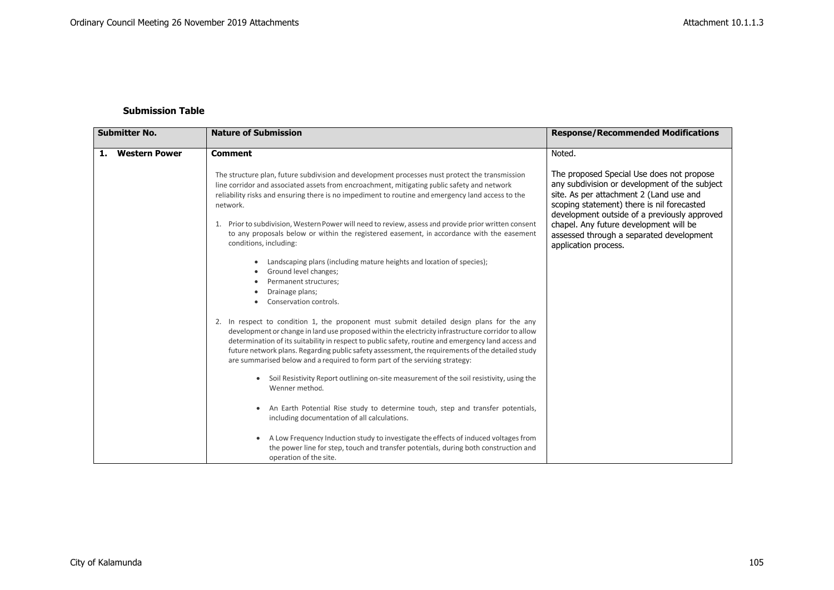## **Submission Table**

| <b>Submitter No.</b>       | <b>Nature of Submission</b>                                                                                                                                                                                                                                                                                                                                                                                                                                                                                                                | <b>Response/Recommended Modifications</b>                                                                                                                                                                                                                                                                                                         |
|----------------------------|--------------------------------------------------------------------------------------------------------------------------------------------------------------------------------------------------------------------------------------------------------------------------------------------------------------------------------------------------------------------------------------------------------------------------------------------------------------------------------------------------------------------------------------------|---------------------------------------------------------------------------------------------------------------------------------------------------------------------------------------------------------------------------------------------------------------------------------------------------------------------------------------------------|
| <b>Western Power</b><br>1. | <b>Comment</b>                                                                                                                                                                                                                                                                                                                                                                                                                                                                                                                             | Noted.                                                                                                                                                                                                                                                                                                                                            |
|                            | The structure plan, future subdivision and development processes must protect the transmission<br>line corridor and associated assets from encroachment, mitigating public safety and network<br>reliability risks and ensuring there is no impediment to routine and emergency land access to the<br>network.<br>Prior to subdivision, Western Power will need to review, assess and provide prior written consent<br>to any proposals below or within the registered easement, in accordance with the easement<br>conditions, including: | The proposed Special Use does not propose<br>any subdivision or development of the subject<br>site. As per attachment 2 (Land use and<br>scoping statement) there is nil forecasted<br>development outside of a previously approved<br>chapel. Any future development will be<br>assessed through a separated development<br>application process. |
|                            | Landscaping plans (including mature heights and location of species);<br>Ground level changes;<br>Permanent structures:<br>Drainage plans;<br>Conservation controls.                                                                                                                                                                                                                                                                                                                                                                       |                                                                                                                                                                                                                                                                                                                                                   |
|                            | 2. In respect to condition 1, the proponent must submit detailed design plans for the any<br>development or change in land use proposed within the electricity infrastructure corridor to allow<br>determination of its suitability in respect to public safety, routine and emergency land access and<br>future network plans. Regarding public safety assessment, the requirements of the detailed study<br>are summarised below and a required to form part of the servicing strategy:                                                  |                                                                                                                                                                                                                                                                                                                                                   |
|                            | Soil Resistivity Report outlining on-site measurement of the soil resistivity, using the<br>Wenner method.                                                                                                                                                                                                                                                                                                                                                                                                                                 |                                                                                                                                                                                                                                                                                                                                                   |
|                            | An Earth Potential Rise study to determine touch, step and transfer potentials,<br>٠<br>including documentation of all calculations.                                                                                                                                                                                                                                                                                                                                                                                                       |                                                                                                                                                                                                                                                                                                                                                   |
|                            | A Low Frequency Induction study to investigate the effects of induced voltages from<br>the power line for step, touch and transfer potentials, during both construction and<br>operation of the site.                                                                                                                                                                                                                                                                                                                                      |                                                                                                                                                                                                                                                                                                                                                   |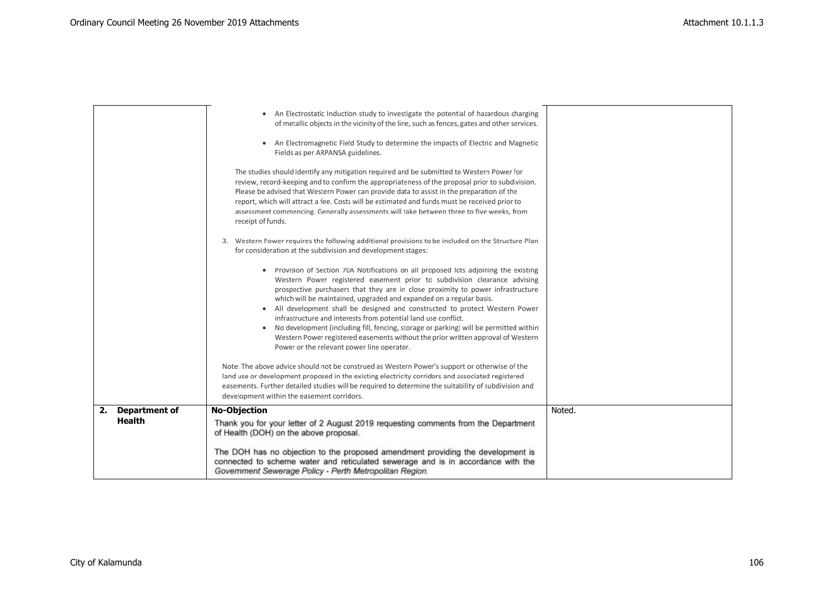| <b>Department of</b><br>2.<br>Health | <b>No-Objection</b><br>Thank you for your letter of 2 August 2019 requesting comments from the Department<br>of Health (DOH) on the above proposal.<br>The DOH has no objection to the proposed amendment providing the development is<br>connected to scheme water and reticulated sewerage and is in accordance with the<br>Government Sewerage Policy - Perth Metropolitan Region.                                                                                                                                                                                                                                                                                                                                                                                                                                                                                                                                                                                                                                                                                                                                                                                                                                                                                                                                                                                                                                                                                                                                                                                                                                                                                                                                                                | Noted. |
|--------------------------------------|------------------------------------------------------------------------------------------------------------------------------------------------------------------------------------------------------------------------------------------------------------------------------------------------------------------------------------------------------------------------------------------------------------------------------------------------------------------------------------------------------------------------------------------------------------------------------------------------------------------------------------------------------------------------------------------------------------------------------------------------------------------------------------------------------------------------------------------------------------------------------------------------------------------------------------------------------------------------------------------------------------------------------------------------------------------------------------------------------------------------------------------------------------------------------------------------------------------------------------------------------------------------------------------------------------------------------------------------------------------------------------------------------------------------------------------------------------------------------------------------------------------------------------------------------------------------------------------------------------------------------------------------------------------------------------------------------------------------------------------------------|--------|
|                                      | The studies should identify any mitigation required and be submitted to Western Power for<br>review, record-keeping and to confirm the appropriateness of the proposal prior to subdivision.<br>Please be advised that Western Power can provide data to assist in the preparation of the<br>report, which will attract a fee. Costs will be estimated and funds must be received prior to<br>assessment commencing. Generally assessments will take between three to five weeks, from<br>receipt of funds.<br>3. Western Power requires the following additional provisions to be included on the Structure Plan<br>for consideration at the subdivision and development stages:<br>Provision of Section 70A Notifications on all proposed lots adjoining the existing<br>Western Power registered easement prior to subdivision clearance advising<br>prospective purchasers that they are in close proximity to power infrastructure<br>which will be maintained, upgraded and expanded on a regular basis.<br>All development shall be designed and constructed to protect Western Power<br>infrastructure and interests from potential land use conflict.<br>No development (including fill, fencing, storage or parking) will be permitted within<br>Western Power registered easements without the prior written approval of Western<br>Power or the relevant power line operator.<br>Note: The above advice should not be construed as Western Power's support or otherwise of the<br>land use or development proposed in the existing electricity corridors and associated registered<br>easements. Further detailed studies will be required to determine the suitability of subdivision and<br>development within the easement corridors. |        |
|                                      | • An Electrostatic Induction study to investigate the potential of hazardous charging<br>of metallic objects in the vicinity of the line, such as fences, gates and other services.<br>An Electromagnetic Field Study to determine the impacts of Electric and Magnetic<br>Fields as per ARPANSA guidelines.                                                                                                                                                                                                                                                                                                                                                                                                                                                                                                                                                                                                                                                                                                                                                                                                                                                                                                                                                                                                                                                                                                                                                                                                                                                                                                                                                                                                                                         |        |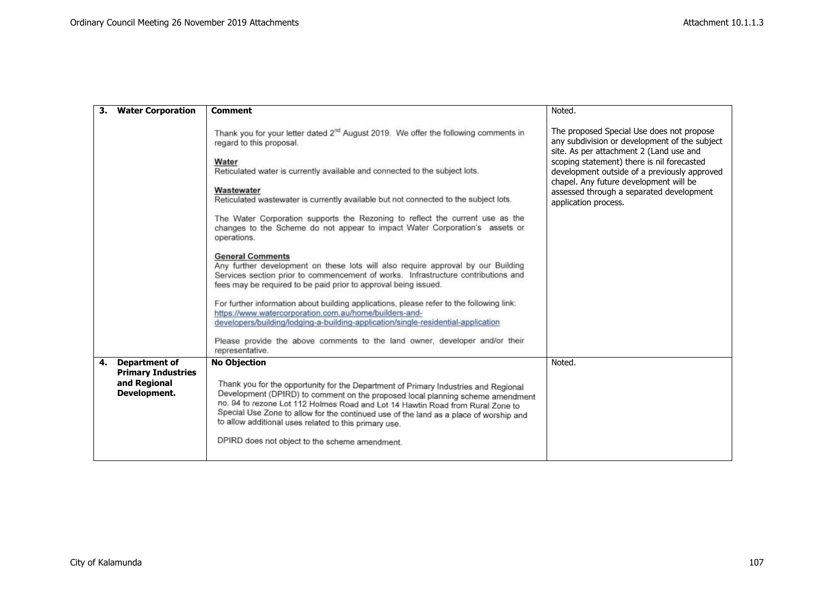|    | <b>Water Corporation</b>                                                          | <b>Comment</b>                                                                                                                                                                                                                                                                                                                                                                                                                                                                                                                                                                                                                                                                                                                                                                                                                                                                                                                                                                                                                                                                                                               | Noted.                                                                                                                                                                                                                                                                                                                                            |
|----|-----------------------------------------------------------------------------------|------------------------------------------------------------------------------------------------------------------------------------------------------------------------------------------------------------------------------------------------------------------------------------------------------------------------------------------------------------------------------------------------------------------------------------------------------------------------------------------------------------------------------------------------------------------------------------------------------------------------------------------------------------------------------------------------------------------------------------------------------------------------------------------------------------------------------------------------------------------------------------------------------------------------------------------------------------------------------------------------------------------------------------------------------------------------------------------------------------------------------|---------------------------------------------------------------------------------------------------------------------------------------------------------------------------------------------------------------------------------------------------------------------------------------------------------------------------------------------------|
|    |                                                                                   | Thank you for your letter dated 2 <sup>nd</sup> August 2019. We offer the following comments in<br>regard to this proposal.<br>Water<br>Reticulated water is currently available and connected to the subject lots.<br>Wastewater<br>Reticulated wastewater is currently available but not connected to the subject lots.<br>The Water Corporation supports the Rezoning to reflect the current use as the<br>changes to the Scheme do not appear to impact Water Corporation's assets or<br>operations.<br><b>General Comments</b><br>Any further development on these lots will also require approval by our Building<br>Services section prior to commencement of works. Infrastructure contributions and<br>fees may be required to be paid prior to approval being issued.<br>For further information about building applications, please refer to the following link:<br>https://www.watercorporation.com.au/home/builders-and-<br>developers/building/lodging-a-building-application/single-residential-application<br>Please provide the above comments to the land owner, developer and/or their<br>representative. | The proposed Special Use does not propose<br>any subdivision or development of the subject<br>site. As per attachment 2 (Land use and<br>scoping statement) there is nil forecasted<br>development outside of a previously approved<br>chapel. Any future development will be<br>assessed through a separated development<br>application process. |
| 4. | <b>Department of</b><br><b>Primary Industries</b><br>and Regional<br>Development. | <b>No Objection</b><br>Thank you for the opportunity for the Department of Primary Industries and Regional<br>Development (DPIRD) to comment on the proposed local planning scheme amendment<br>no. 94 to rezone Lot 112 Holmes Road and Lot 14 Hawtin Road from Rural Zone to<br>Special Use Zone to allow for the continued use of the land as a place of worship and<br>to allow additional uses related to this primary use.<br>DPIRD does not object to the scheme amendment.                                                                                                                                                                                                                                                                                                                                                                                                                                                                                                                                                                                                                                           | Noted.                                                                                                                                                                                                                                                                                                                                            |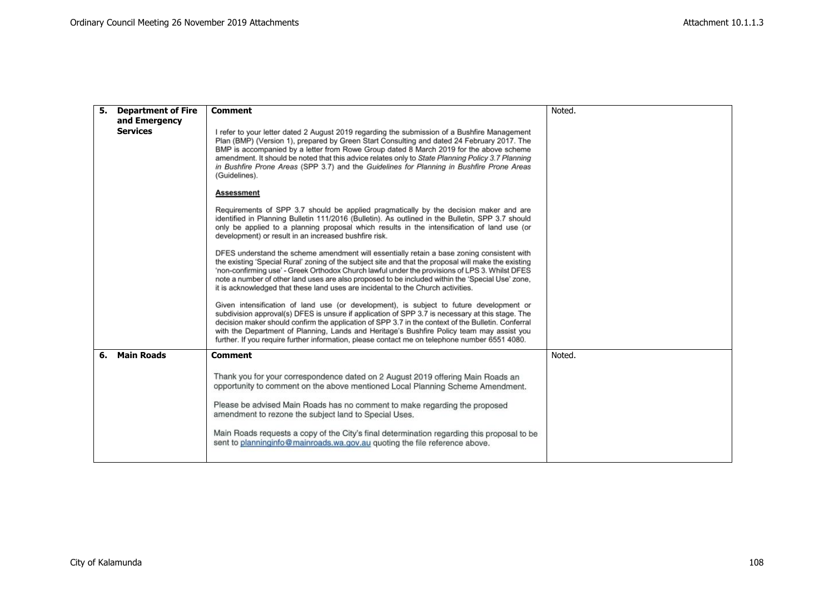| 5. | <b>Department of Fire</b> | <b>Comment</b>                                                                                                                                                                                                                                                                                                                                                                                                                                                                                          | Noted. |
|----|---------------------------|---------------------------------------------------------------------------------------------------------------------------------------------------------------------------------------------------------------------------------------------------------------------------------------------------------------------------------------------------------------------------------------------------------------------------------------------------------------------------------------------------------|--------|
|    | and Emergency             |                                                                                                                                                                                                                                                                                                                                                                                                                                                                                                         |        |
|    | <b>Services</b>           | I refer to your letter dated 2 August 2019 regarding the submission of a Bushfire Management<br>Plan (BMP) (Version 1), prepared by Green Start Consulting and dated 24 February 2017. The<br>BMP is accompanied by a letter from Rowe Group dated 8 March 2019 for the above scheme<br>amendment. It should be noted that this advice relates only to State Planning Policy 3.7 Planning<br>in Bushfire Prone Areas (SPP 3.7) and the Guidelines for Planning in Bushfire Prone Areas<br>(Guidelines). |        |
|    |                           | <b>Assessment</b>                                                                                                                                                                                                                                                                                                                                                                                                                                                                                       |        |
|    |                           | Requirements of SPP 3.7 should be applied pragmatically by the decision maker and are<br>identified in Planning Bulletin 111/2016 (Bulletin). As outlined in the Bulletin, SPP 3.7 should<br>only be applied to a planning proposal which results in the intensification of land use (or<br>development) or result in an increased bushfire risk.                                                                                                                                                       |        |
|    |                           | DFES understand the scheme amendment will essentially retain a base zoning consistent with<br>the existing 'Special Rural' zoning of the subject site and that the proposal will make the existing<br>'non-confirming use' - Greek Orthodox Church lawful under the provisions of LPS 3. Whilst DFES<br>note a number of other land uses are also proposed to be included within the 'Special Use' zone,<br>it is acknowledged that these land uses are incidental to the Church activities.            |        |
|    |                           | Given intensification of land use (or development), is subject to future development or<br>subdivision approval(s) DFES is unsure if application of SPP 3.7 is necessary at this stage. The<br>decision maker should confirm the application of SPP 3.7 in the context of the Bulletin. Conferral<br>with the Department of Planning, Lands and Heritage's Bushfire Policy team may assist you<br>further. If you require further information, please contact me on telephone number 6551 4080.         |        |
| 6. | <b>Main Roads</b>         | <b>Comment</b>                                                                                                                                                                                                                                                                                                                                                                                                                                                                                          | Noted. |
|    |                           | Thank you for your correspondence dated on 2 August 2019 offering Main Roads an<br>opportunity to comment on the above mentioned Local Planning Scheme Amendment.<br>Please be advised Main Roads has no comment to make regarding the proposed<br>amendment to rezone the subject land to Special Uses.<br>Main Roads requests a copy of the City's final determination regarding this proposal to be<br>sent to planninginfo@mainroads.wa.gov.au quoting the file reference above.                    |        |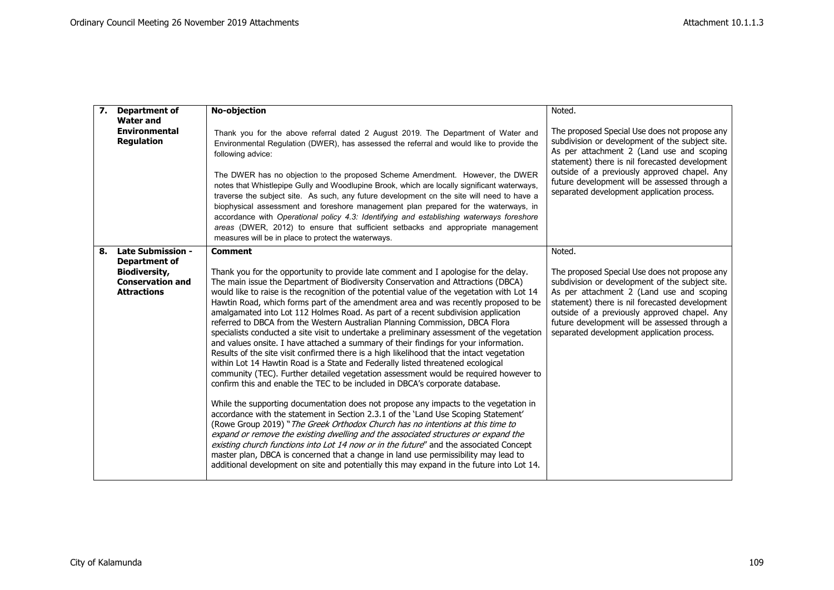| 7. | <b>Department of</b>                                                  | No-objection                                                                                                                                                                                                                                                                                                                                                                                                                                                                                                                                                                                                                                                                                                                                                                                                                                                                                                                                                                                                                                                                                                                                                                                                                                                                                                                                                                                                                                                                                                                                                                                                                                                                                                           | Noted.                                                                                                                                                                                                                                                                                                                                         |
|----|-----------------------------------------------------------------------|------------------------------------------------------------------------------------------------------------------------------------------------------------------------------------------------------------------------------------------------------------------------------------------------------------------------------------------------------------------------------------------------------------------------------------------------------------------------------------------------------------------------------------------------------------------------------------------------------------------------------------------------------------------------------------------------------------------------------------------------------------------------------------------------------------------------------------------------------------------------------------------------------------------------------------------------------------------------------------------------------------------------------------------------------------------------------------------------------------------------------------------------------------------------------------------------------------------------------------------------------------------------------------------------------------------------------------------------------------------------------------------------------------------------------------------------------------------------------------------------------------------------------------------------------------------------------------------------------------------------------------------------------------------------------------------------------------------------|------------------------------------------------------------------------------------------------------------------------------------------------------------------------------------------------------------------------------------------------------------------------------------------------------------------------------------------------|
|    | <b>Water and</b><br><b>Environmental</b><br><b>Regulation</b>         | Thank you for the above referral dated 2 August 2019. The Department of Water and<br>Environmental Regulation (DWER), has assessed the referral and would like to provide the<br>following advice:<br>The DWER has no objection to the proposed Scheme Amendment. However, the DWER<br>notes that Whistlepipe Gully and Woodlupine Brook, which are locally significant waterways,<br>traverse the subject site. As such, any future development on the site will need to have a<br>biophysical assessment and foreshore management plan prepared for the waterways, in<br>accordance with Operational policy 4.3: Identifying and establishing waterways foreshore<br>areas (DWER, 2012) to ensure that sufficient setbacks and appropriate management<br>measures will be in place to protect the waterways.                                                                                                                                                                                                                                                                                                                                                                                                                                                                                                                                                                                                                                                                                                                                                                                                                                                                                                         | The proposed Special Use does not propose any<br>subdivision or development of the subject site.<br>As per attachment 2 (Land use and scoping<br>statement) there is nil forecasted development<br>outside of a previously approved chapel. Any<br>future development will be assessed through a<br>separated development application process. |
| 8. | <b>Late Submission -</b><br>Department of                             | <b>Comment</b>                                                                                                                                                                                                                                                                                                                                                                                                                                                                                                                                                                                                                                                                                                                                                                                                                                                                                                                                                                                                                                                                                                                                                                                                                                                                                                                                                                                                                                                                                                                                                                                                                                                                                                         | Noted.                                                                                                                                                                                                                                                                                                                                         |
|    | <b>Biodiversity,</b><br><b>Conservation and</b><br><b>Attractions</b> | Thank you for the opportunity to provide late comment and I apologise for the delay.<br>The main issue the Department of Biodiversity Conservation and Attractions (DBCA)<br>would like to raise is the recognition of the potential value of the vegetation with Lot 14<br>Hawtin Road, which forms part of the amendment area and was recently proposed to be<br>amalgamated into Lot 112 Holmes Road. As part of a recent subdivision application<br>referred to DBCA from the Western Australian Planning Commission, DBCA Flora<br>specialists conducted a site visit to undertake a preliminary assessment of the vegetation<br>and values onsite. I have attached a summary of their findings for your information.<br>Results of the site visit confirmed there is a high likelihood that the intact vegetation<br>within Lot 14 Hawtin Road is a State and Federally listed threatened ecological<br>community (TEC). Further detailed vegetation assessment would be required however to<br>confirm this and enable the TEC to be included in DBCA's corporate database.<br>While the supporting documentation does not propose any impacts to the vegetation in<br>accordance with the statement in Section 2.3.1 of the 'Land Use Scoping Statement'<br>(Rowe Group 2019) "The Greek Orthodox Church has no intentions at this time to<br>expand or remove the existing dwelling and the associated structures or expand the<br>existing church functions into Lot 14 now or in the future" and the associated Concept<br>master plan, DBCA is concerned that a change in land use permissibility may lead to<br>additional development on site and potentially this may expand in the future into Lot 14. | The proposed Special Use does not propose any<br>subdivision or development of the subject site.<br>As per attachment 2 (Land use and scoping<br>statement) there is nil forecasted development<br>outside of a previously approved chapel. Any<br>future development will be assessed through a<br>separated development application process. |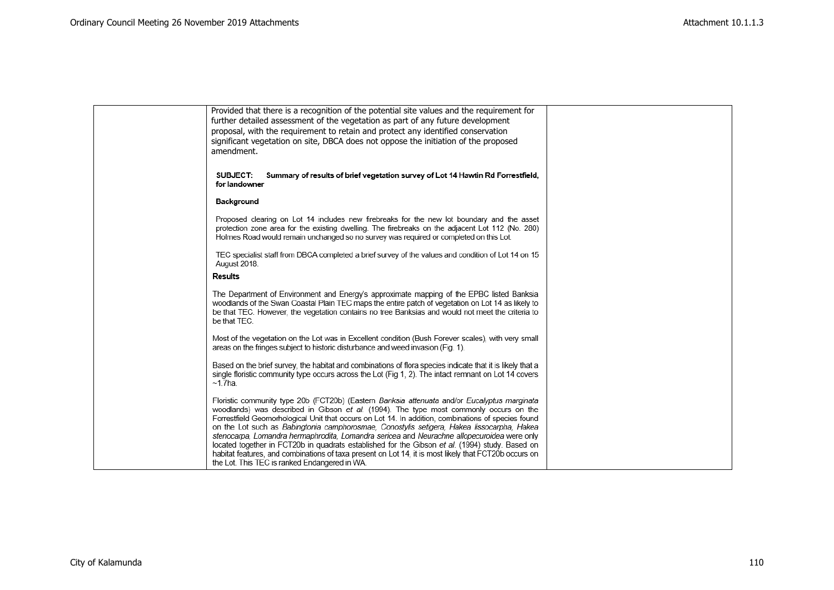| Provided that there is a recognition of the potential site values and the requirement for<br>further detailed assessment of the vegetation as part of any future development<br>proposal, with the requirement to retain and protect any identified conservation<br>significant vegetation on site, DBCA does not oppose the initiation of the proposed<br>amendment.                                                                                                                                                                                                                                                                                                                                                                                   |  |
|---------------------------------------------------------------------------------------------------------------------------------------------------------------------------------------------------------------------------------------------------------------------------------------------------------------------------------------------------------------------------------------------------------------------------------------------------------------------------------------------------------------------------------------------------------------------------------------------------------------------------------------------------------------------------------------------------------------------------------------------------------|--|
| Summary of results of brief vegetation survey of Lot 14 Hawtin Rd Forrestfield,<br>SUBJECT:<br>for landowner                                                                                                                                                                                                                                                                                                                                                                                                                                                                                                                                                                                                                                            |  |
| Background                                                                                                                                                                                                                                                                                                                                                                                                                                                                                                                                                                                                                                                                                                                                              |  |
| Proposed clearing on Lot 14 includes new firebreaks for the new lot boundary and the asset<br>protection zone area for the existing dwelling. The firebreaks on the adjacent Lot 112 (No. 280)<br>Holmes Road would remain unchanged so no survey was required or completed on this Lot.                                                                                                                                                                                                                                                                                                                                                                                                                                                                |  |
| TEC specialist staff from DBCA completed a brief survey of the values and condition of Lot 14 on 15<br>August 2018.                                                                                                                                                                                                                                                                                                                                                                                                                                                                                                                                                                                                                                     |  |
| Results                                                                                                                                                                                                                                                                                                                                                                                                                                                                                                                                                                                                                                                                                                                                                 |  |
| The Department of Environment and Energy's approximate mapping of the EPBC listed Banksia<br>woodlands of the Swan Coastal Plain TEC maps the entire patch of vegetation on Lot 14 as likely to<br>be that TEC. However, the vegetation contains no tree Banksias and would not meet the criteria to<br>be that TEC.                                                                                                                                                                                                                                                                                                                                                                                                                                    |  |
| Most of the vegetation on the Lot was in Excellent condition (Bush Forever scales), with very small<br>areas on the fringes subject to historic disturbance and weed invasion (Fig. 1).                                                                                                                                                                                                                                                                                                                                                                                                                                                                                                                                                                 |  |
| Based on the brief survey, the habitat and combinations of flora species indicate that it is likely that a<br>single floristic community type occurs across the Lot (Fig 1, 2). The intact remnant on Lot 14 covers<br>$~1.7$ ha.                                                                                                                                                                                                                                                                                                                                                                                                                                                                                                                       |  |
| Floristic community type 20b (FCT20b) (Eastern Banksia attenuata and/or Eucalyptus marginata<br>woodlands) was described in Gibson et al. (1994). The type most commonly occurs on the<br>Forrestfield Geomorhological Unit that occurs on Lot 14. In addition, combinations of species found<br>on the Lot such as Babingtonia camphorosmae, Conostylis setigera, Hakea lissocarpha, Hakea<br>stenocarpa, Lomandra hermaphrodita, Lomandra sericea and Neurachne allopecuroidea were only<br>located together in FCT20b in quadrats established for the Gibson et al. (1994) study. Based on<br>habitat features, and combinations of taxa present on Lot 14, it is most likely that FCT20b occurs on<br>the Lot. This TEC is ranked Endangered in WA. |  |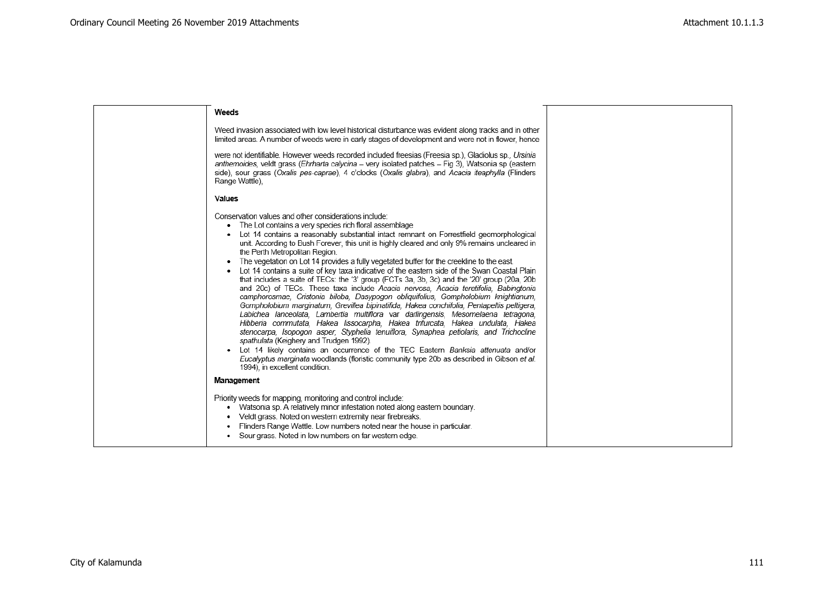| Weeds                                                                                                                                                                                                                                                                                                                                                                                                                                                                                                                                                                                                                                                                                                                                                                                                                                                                                                                                                                                                                                                                                                                                                                                                                                                                                                                                                                                                                                                   |  |
|---------------------------------------------------------------------------------------------------------------------------------------------------------------------------------------------------------------------------------------------------------------------------------------------------------------------------------------------------------------------------------------------------------------------------------------------------------------------------------------------------------------------------------------------------------------------------------------------------------------------------------------------------------------------------------------------------------------------------------------------------------------------------------------------------------------------------------------------------------------------------------------------------------------------------------------------------------------------------------------------------------------------------------------------------------------------------------------------------------------------------------------------------------------------------------------------------------------------------------------------------------------------------------------------------------------------------------------------------------------------------------------------------------------------------------------------------------|--|
| Weed invasion associated with low level historical disturbance was evident along tracks and in other<br>limited areas. A number of weeds were in early stages of development and were not in flower, hence                                                                                                                                                                                                                                                                                                                                                                                                                                                                                                                                                                                                                                                                                                                                                                                                                                                                                                                                                                                                                                                                                                                                                                                                                                              |  |
| were not identifiable. However weeds recorded included freesias (Freesia sp.), Gladiolus sp., Ursinia<br>anthemoides, veldt grass (Ehrharta calycina - very isolated patches - Fig 3), Watsonia sp (eastern<br>side), sour grass (Oxalis pes-caprae), 4 o'clocks (Oxalis glabra), and Acacia iteaphylla (Flinders<br>Range Wattle),                                                                                                                                                                                                                                                                                                                                                                                                                                                                                                                                                                                                                                                                                                                                                                                                                                                                                                                                                                                                                                                                                                                     |  |
| <b>Values</b>                                                                                                                                                                                                                                                                                                                                                                                                                                                                                                                                                                                                                                                                                                                                                                                                                                                                                                                                                                                                                                                                                                                                                                                                                                                                                                                                                                                                                                           |  |
| Conservation values and other considerations include:<br>The Lot contains a very species rich floral assemblage<br>Lot 14 contains a reasonably substantial intact remnant on Forrestfield geomorphological<br>unit. According to Bush Forever, this unit is highly cleared and only 9% remains uncleared in<br>the Perth Metropolitan Region.<br>The vegetation on Lot 14 provides a fully vegetated buffer for the creekline to the east.<br>Lot 14 contains a suite of key taxa indicative of the eastern side of the Swan Coastal Plain<br>that includes a suite of TECs: the '3' group (FCTs 3a, 3b, 3c) and the '20' group (20a, 20b<br>and 20c) of TECs. These taxa include Acacia nervosa, Acacia teretifolia, Babingtonia<br>camphorosmae, Cristonia biloba, Dasypogon obliquifolius, Gompholobium knightianum,<br>Gompholobium marginatum, Grevillea bipinatifida, Hakea conchifolia, Pentapeltis peltigera,<br>Labichea lanceolata, Lambertia multiflora var darlingensis, Mesomelaena tetragona,<br>Hibberia commutata, Hakea lissocarpha, Hakea trifurcata, Hakea undulata, Hakea<br>stenocarpa, Isopogon asper, Styphelia tenuiflora, Synaphea petiolaris, and Trichocline<br>spathulata (Keighery and Trudgen 1992).<br>Lot 14 likely contains an occurrence of the TEC Eastern Banksia attenuata and/or<br>Eucalyptus marginata woodlands (floristic community type 20b as described in Gibson et al.<br>1994), in excellent condition. |  |
| Management                                                                                                                                                                                                                                                                                                                                                                                                                                                                                                                                                                                                                                                                                                                                                                                                                                                                                                                                                                                                                                                                                                                                                                                                                                                                                                                                                                                                                                              |  |
| Priority weeds for mapping, monitoring and control include:<br>Watsonia sp. A relatively minor infestation noted along eastern boundary.<br>٠<br>Veldt grass. Noted on western extremity near firebreaks.<br>Flinders Range Wattle. Low numbers noted near the house in particular.<br>Sour grass. Noted in low numbers on far western edge.                                                                                                                                                                                                                                                                                                                                                                                                                                                                                                                                                                                                                                                                                                                                                                                                                                                                                                                                                                                                                                                                                                            |  |